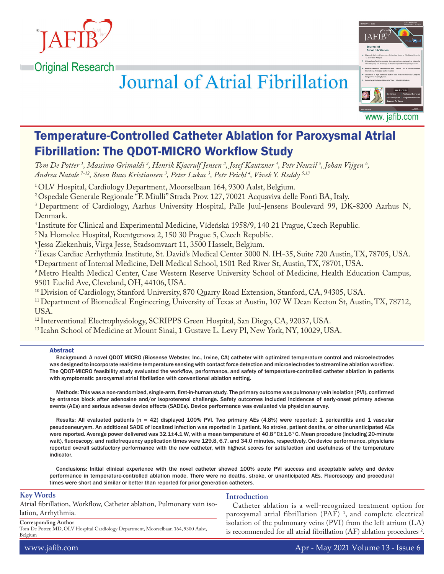



# **Journal of Atrial Fibrillation**

Temperature-Controlled Catheter Ablation for Paroxysmal Atrial Fibrillation: The QDOT-MICRO Workflow Study

*Tom De Potter 1 , Massimo Grimaldi 2 , Henrik Kjaerulf Jensen 3 , Josef Kautzner 4 , Petr Neuzil 5 , Johan Vijgen 6 , Andrea Natale 7-12, Steen Buus Kristiansen 3 , Peter Lukac 3 , Petr Peichl 4 , Vivek Y. Reddy 5,13*

<sup>1</sup> OLV Hospital, Cardiology Department, Moorselbaan 164, 9300 Aalst, Belgium.

2 Ospedale Generale Regionale "F. Miulli" Strada Prov. 127, 70021 Acquaviva delle Fonti BA, Italy.

<sup>3</sup> Department of Cardiology, Aarhus University Hospital, Palle Juul-Jensens Boulevard 99, DK-8200 Aarhus N, Denmark.

4 Institute for Clinical and Experimental Medicine, Vídeňská 1958/9, 140 21 Prague, Czech Republic.

5 Na Homolce Hospital, Roentgenova 2, 150 30 Prague 5, Czech Republic.

6 Jessa Ziekenhuis, Virga Jesse, Stadsomvaart 11, 3500 Hasselt, Belgium.

7 Texas Cardiac Arrhythmia Institute, St. David's Medical Center 3000 N. IH-35, Suite 720 Austin, TX, 78705, USA.

8 Department of Internal Medicine, Dell Medical School, 1501 Red River St, Austin, TX, 78701, USA.

9 Metro Health Medical Center, Case Western Reserve University School of Medicine, Health Education Campus, 9501 Euclid Ave, Cleveland, OH, 44106, USA.

10 Division of Cardiology, Stanford University, 870 Quarry Road Extension, Stanford, CA, 94305, USA.

<sup>11</sup> Department of Biomedical Engineering, University of Texas at Austin, 107 W Dean Keeton St, Austin, TX, 78712, USA.

12 Interventional Electrophysiology, SCRIPPS Green Hospital, San Diego, CA, 92037, USA.

<sup>13</sup> Icahn School of Medicine at Mount Sinai, 1 Gustave L. Levy Pl, New York, NY, 10029, USA.

#### Abstract

Background: A novel QDOT MICRO (Biosense Webster, Inc., Irvine, CA) catheter with optimized temperature control and microelectrodes was designed to incorporate real-time temperature sensing with contact force detection and microelectrodes to streamline ablation workflow. The QDOT-MICRO feasibility study evaluated the workflow, performance, and safety of temperature-controlled catheter ablation in patients with symptomatic paroxysmal atrial fibrillation with conventional ablation setting.

Methods: This was a non-randomized, single-arm, first-in-human study. The primary outcome was pulmonary vein isolation (PVI), confirmed by entrance block after adenosine and/or isoproterenol challenge. Safety outcomes included incidences of early-onset primary adverse events (AEs) and serious adverse device effects (SADEs). Device performance was evaluated via physician survey.

Results: All evaluated patients (n = 42) displayed 100% PVI. Two primary AEs (4.8%) were reported: 1 pericarditis and 1 vascular pseudoaneurysm. An additional SADE of localized infection was reported in 1 patient. No stroke, patient deaths, or other unanticipated AEs were reported. Average power delivered was 32.1±4.1 W, with a mean temperature of 40.8°C±1.6°C. Mean procedure (including 20-minute wait), fluoroscopy, and radiofrequency application times were 129.8, 6.7, and 34.0 minutes, respectively. On device performance, physicians reported overall satisfactory performance with the new catheter, with highest scores for satisfaction and usefulness of the temperature indicator.

Conclusions: Initial clinical experience with the novel catheter showed 100% acute PVI success and acceptable safety and device performance in temperature-controlled ablation mode. There were no deaths, stroke, or unanticipated AEs. Fluoroscopy and procedural times were short and similar or better than reported for prior generation catheters.

### **Key Words**

Atrial fibrillation, Workflow, Catheter ablation, Pulmonary vein isolation, Arrhythmia.

# **Introduction**

Catheter ablation is a well-recognized treatment option for paroxysmal atrial fibrillation (PAF) 1 , and complete electrical isolation of the pulmonary veins (PVI) from the left atrium (LA) is recommended for all atrial fibrillation (AF) ablation procedures  $2$ .

# **Corresponding Author**

Tom De Potter, MD, OLV Hospital Cardiology Department, Moorselbaan 164, 9300 Aalst, Belgium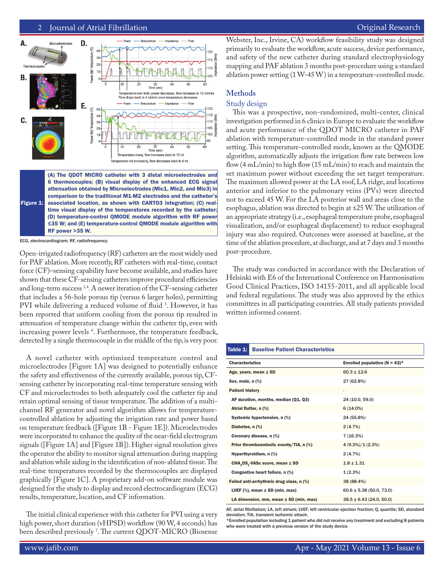2 Journal of Atrial Fibrillation **Communisties and Communisties and Communisties Communisties Atlantic Review** 



Figure 1: attenuation obtained by Microelectrodes (Mic1, Mic2, and Mic3) in comparison to the traditional M1-M2 electrodes and the catheter's associated location, as shown with CARTO3 integration; (C) realtime visual display of the temperatures recorded by the catheter; (D) temperature-control QMODE module algorithm with RF power ≤35 W; and (E) temperature-control QMODE module algorithm with RF power >35 W.

ECG, electrocardiogram; RF, radiofrequency.

Open-irrigated radiofrequency (RF) catheters are the most widely used for PAF ablation. More recently, RF catheters with real-time, contact force (CF)–sensing capability have become available, and studies have shown that these CF-sensing catheters improve procedural efficiencies and long-term success <sup>3,4</sup>. A newer iteration of the CF-sensing catheter that includes a 56-hole porous tip (versus 6 larger holes), permitting PVI while delivering a reduced volume of fluid <sup>5</sup>. However, it has been reported that uniform cooling from the porous tip resulted in attenuation of temperature change within the catheter tip, even with increasing power levels 6 . Furthermore, the temperature feedback, detected by a single thermocouple in the middle of the tip, is very poor.

A novel catheter with optimized temperature control and microelectrodes [Figure 1A] was designed to potentially enhance the safety and effectiveness of the currently available, porous tip, CFsensing catheter by incorporating real-time temperature sensing with CF and microelectrodes to both adequately cool the catheter tip and retain optimal sensing of tissue temperature. The addition of a multichannel RF generator and novel algorithm allows for temperaturecontrolled ablation by adjusting the irrigation rate and power based on temperature feedback ([Figure 1B - Figure 1E]). Microelectrodes were incorporated to enhance the quality of the near-field electrogram signals ([Figure 1A] and [Figure 1B]). Higher signal resolution gives the operator the ability to monitor signal attenuation during mapping and ablation while aiding in the identification of non-ablated tissue. The real-time temperatures recorded by the thermocouples are displayed graphically [Figure 1C]. A proprietary add-on software module was designed for the study to display and record electrocardiogram (ECG) results, temperature, location, and CF information.

The initial clinical experience with this catheter for PVI using a very high power, short duration (vHPSD) workflow (90 W, 4 seconds) has been described previously 7 . The current QDOT-MICRO (Biosense Webster, Inc., Irvine, CA) workflow feasibility study was designed primarily to evaluate the workflow, acute success, device performance, and safety of the new catheter during standard electrophysiology mapping and PAF ablation 3 months post-procedure using a standard ablation power setting (1 W-45 W) in a temperature-controlled mode.

# **Methods**

# Study design

This was a prospective, non-randomized, multi-center, clinical investigation performed in 6 clinics in Europe to evaluate the workflow and acute performance of the QDOT MICRO catheter in PAF ablation with temperature-controlled mode in the standard power setting. This temperature-controlled mode, known as the QMODE algorithm, automatically adjusts the irrigation flow rate between low flow (4 mL/min) to high flow (15 mL/min) to reach and maintain the set maximum power without exceeding the set target temperature. The maximum allowed power at the LA roof, LA ridge, and locations anterior and inferior to the pulmonary veins (PVs) were directed not to exceed 45 W. For the LA posterior wall and areas close to the esophagus, ablation was directed to begin at ≤25 W. The utilization of an appropriate strategy (i.e., esophageal temperature probe, esophageal visualization, and/or esophageal displacement) to reduce esophageal injury was also required. Outcomes were assessed at baseline, at the time of the ablation procedure, at discharge, and at 7 days and 3 months post-procedure.

The study was conducted in accordance with the Declaration of Helsinki with E6 of the International Conference on Harmonisation Good Clinical Practices, ISO 14155-2011, and all applicable local and federal regulations. The study was also approved by the ethics committees in all participating countries. All study patients provided written informed consent.

| Table 1:                                                | <b>Baseline Patient Characteristics</b> |                                   |
|---------------------------------------------------------|-----------------------------------------|-----------------------------------|
| <b>Characteristics</b>                                  |                                         | Enrolled population ( $N = 43$ )* |
| Age, years, mean $\pm$ SD                               |                                         | $60.3 + 12.6$                     |
| Sex, male, $n$ $%$                                      |                                         | 27 (62.8%)                        |
| <b>Patient history</b>                                  |                                         | $\qquad \qquad \blacksquare$      |
| AF duration, months, median (Q1, Q3)                    |                                         | 24 (10.0, 59.0)                   |
| Atrial flutter, n (%)                                   |                                         | $6(14.0\%)$                       |
| Systemic hypertension, n (%)                            |                                         | 24 (55.8%)                        |
| Diabetes, n (%)                                         |                                         | 2(4.7%)                           |
| Coronary disease, n (%)                                 |                                         | 7(16.3%)                          |
| Prior thromboembolic events/TIA, n (%)                  |                                         | $4(9.3\%)/1(2.3\%)$               |
| Hyperthyroidism, n (%)                                  |                                         | 2(4.7%)                           |
| CHA <sub>2</sub> DS <sub>2</sub> -VASc score, mean ± SD |                                         | $1.8 + 1.31$                      |
| Congestive heart failure, n (%)                         |                                         | 1(2.3%)                           |
| Failed anti-arrhythmic drug class, n (%)                |                                         | 38 (88.4%)                        |
| LVEF $(\%)$ , mean $\pm$ SD (min, max)                  |                                         | $60.6 \pm 5.38$ (50.0, 73.0)      |
| LA dimension, mm, mean $\pm$ SD (min, max)              |                                         | $38.5 \pm 6.43$ (24.0, 50.0)      |

AF, atrial fibrillation; LA, left atrium; LVEF, left ventricular ejection fraction; Q, quartile; SD, standard deviation; TIA, transient ischemic attack.

\*Enrolled population including 1 patient who did not receive any treatment and excluding 8 patients who were treated with a previous version of the study device.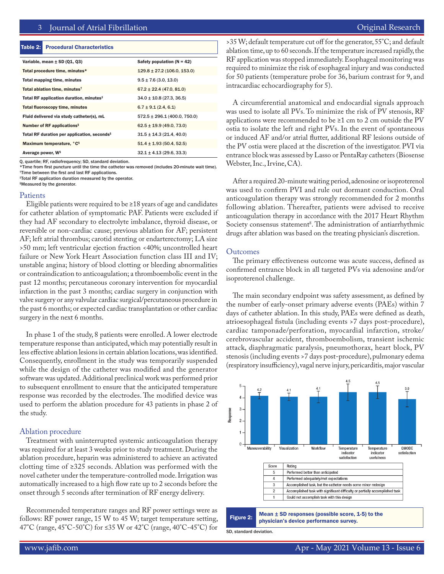#### Table 2: Procedural Characteristics

| Variable, mean $\pm$ SD (Q1, Q3)                        | Safety population $(N = 42)$     |
|---------------------------------------------------------|----------------------------------|
| Total procedure time, minutes*                          | $129.8 \pm 27.2$ (106.0, 153.0)  |
| <b>Total mapping time, minutes</b>                      | $9.5 \pm 7.6$ (3.0, 13.0)        |
| Total ablation time, minutes <sup>†</sup>               | $67.2 \pm 22.4$ (47.0, 81.0)     |
| Total RF application duration, minutes <sup>#</sup>     | $34.0 \pm 10.8$ (27.3, 36.5)     |
| <b>Total fluoroscopy time, minutes</b>                  | $6.7 \pm 9.1$ (2.4, 6.1)         |
| Fluid delivered via study catheter(s), mL               | $572.5 \pm 296.1$ (400.0, 750.0) |
| Number of RF applications <sup>§</sup>                  | $62.5 \pm 19.9$ (49.0, 73.0)     |
| Total RF duration per application, seconds <sup>§</sup> | $31.5 \pm 14.3$ (21.4, 40.0)     |
| Maximum temperature, °C <sup>§</sup>                    | $51.4 \pm 1.93$ (50.4, 52.5)     |
| Average power, W <sup>§</sup>                           | $32.1 \pm 4.13$ (29.6, 33.3)     |

Q, quartile; RF, radiofrequency; SD, standard deviation.

\*Time from first puncture until the time the catheter was removed (includes 20-minute wait time). †Time between the first and last RF applications.

‡Total RF application duration measured by the operator.

§Measured by the generator.

#### Patients

Eligible patients were required to be ≥18 years of age and candidates for catheter ablation of symptomatic PAF. Patients were excluded if they had AF secondary to electrolyte imbalance, thyroid disease, or reversible or non-cardiac cause; previous ablation for AF; persistent AF; left atrial thrombus; carotid stenting or endarterectomy; LA size >50 mm; left ventricular ejection fraction <40%; uncontrolled heart failure or New York Heart Association function class III and IV; unstable angina; history of blood clotting or bleeding abnormalities or contraindication to anticoagulation; a thromboembolic event in the past 12 months; percutaneous coronary intervention for myocardial infarction in the past 3 months; cardiac surgery in conjunction with valve surgery or any valvular cardiac surgical/percutaneous procedure in the past 6 months; or expected cardiac transplantation or other cardiac surgery in the next 6 months.

In phase 1 of the study, 8 patients were enrolled. A lower electrode temperature response than anticipated, which may potentially result in less effective ablation lesions in certain ablation locations, was identified. Consequently, enrollment in the study was temporarily suspended while the design of the catheter was modified and the generator software was updated. Additional preclinical work was performed prior to subsequent enrollment to ensure that the anticipated temperature response was recorded by the electrodes. The modified device was used to perform the ablation procedure for 43 patients in phase 2 of the study.

#### Ablation procedure

Treatment with uninterrupted systemic anticoagulation therapy was required for at least 3 weeks prior to study treatment. During the ablation procedure, heparin was administered to achieve an activated clotting time of ≥325 seconds. Ablation was performed with the novel catheter under the temperature-controlled mode. Irrigation was automatically increased to a high flow rate up to 2 seconds before the onset through 5 seconds after termination of RF energy delivery.

Recommended temperature ranges and RF power settings were as follows: RF power range, 15 W to 45 W; target temperature setting, 47°C (range, 45°C-50°C) for ≤35 W or 42°C (range, 40°C-45°C) for >35 W; default temperature cut off for the generator, 55°C; and default ablation time, up to 60 seconds. If the temperature increased rapidly, the RF application was stopped immediately. Esophageal monitoring was required to minimize the risk of esophageal injury and was conducted for 50 patients (temperature probe for 36, barium contrast for 9, and intracardiac echocardiography for 5).

A circumferential anatomical and endocardial signals approach was used to isolate all PVs. To minimize the risk of PV stenosis, RF applications were recommended to be  $\geq 1$  cm to 2 cm outside the PV ostia to isolate the left and right PVs. In the event of spontaneous or induced AF and/or atrial flutter, additional RF lesions outside of the PV ostia were placed at the discretion of the investigator. PVI via entrance block was assessed by Lasso or PentaRay catheters (Biosense Webster, Inc., Irvine, CA).

After a required 20-minute waiting period, adenosine or isoproterenol was used to confirm PVI and rule out dormant conduction. Oral anticoagulation therapy was strongly recommended for 2 months following ablation. Thereafter, patients were advised to receive anticoagulation therapy in accordance with the 2017 Heart Rhythm Society consensus statement<sup>8</sup>. The administration of antiarrhythmic drugs after ablation was based on the treating physician's discretion.

# **Outcomes**

The primary effectiveness outcome was acute success, defined as confirmed entrance block in all targeted PVs via adenosine and/or isoproterenol challenge.

The main secondary endpoint was safety assessment, as defined by the number of early-onset primary adverse events (PAEs) within 7 days of catheter ablation. In this study, PAEs were defined as death, atrioesophageal fistula (including events >7 days post-procedure), cardiac tamponade/perforation, myocardial infarction, stroke/ cerebrovascular accident, thromboembolism, transient ischemic attack, diaphragmatic paralysis, pneumothorax, heart block, PV stenosis (including events >7 days post-procedure), pulmonary edema (respiratory insufficiency), vagal nerve injury, pericarditis, major vascular



SD, standard deviation.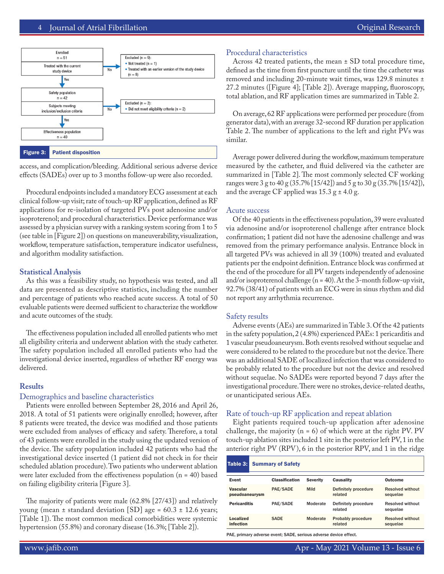

access, and complication/bleeding. Additional serious adverse device effects (SADEs) over up to 3 months follow-up were also recorded.

Procedural endpoints included a mandatory ECG assessment at each clinical follow-up visit; rate of touch-up RF application, defined as RF applications for re-isolation of targeted PVs post adenosine and/or isoproterenol; and procedural characteristics. Device performance was assessed by a physician survey with a ranking system scoring from 1 to 5 (see table in [Figure 2]) on questions on maneuverability, visualization, workflow, temperature satisfaction, temperature indicator usefulness, and algorithm modality satisfaction.

# **Statistical Analysis**

As this was a feasibility study, no hypothesis was tested, and all data are presented as descriptive statistics, including the number and percentage of patients who reached acute success. A total of 50 evaluable patients were deemed sufficient to characterize the workflow and acute outcomes of the study.

The effectiveness population included all enrolled patients who met all eligibility criteria and underwent ablation with the study catheter. The safety population included all enrolled patients who had the investigational device inserted, regardless of whether RF energy was delivered.

# **Results**

### Demographics and baseline characteristics

Patients were enrolled between September 28, 2016 and April 26, 2018. A total of 51 patients were originally enrolled; however, after 8 patients were treated, the device was modified and those patients were excluded from analyses of efficacy and safety. Therefore, a total of 43 patients were enrolled in the study using the updated version of the device. The safety population included 42 patients who had the investigational device inserted (1 patient did not check in for their scheduled ablation procedure). Two patients who underwent ablation were later excluded from the effectiveness population  $(n = 40)$  based on failing eligibility criteria [Figure 3].

The majority of patients were male (62.8% [27/43]) and relatively young (mean ± standard deviation [SD] age = 60.3 ± 12.6 years; [Table 1]). The most common medical comorbidities were systemic hypertension (55.8%) and coronary disease (16.3%; [Table 2]).

# Procedural characteristics

Across 42 treated patients, the mean ± SD total procedure time, defined as the time from first puncture until the time the catheter was removed and including 20-minute wait times, was 129.8 minutes ± 27.2 minutes ([Figure 4]; [Table 2]). Average mapping, fluoroscopy, total ablation, and RF application times are summarized in Table 2.

On average, 62 RF applications were performed per procedure (from generator data), with an average 32-second RF duration per application Table 2. The number of applications to the left and right PVs was similar.

Average power delivered during the workflow, maximum temperature measured by the catheter, and fluid delivered via the catheter are summarized in [Table 2]. The most commonly selected CF working ranges were 3 g to 40 g (35.7% [15/42]) and 5 g to 30 g (35.7% [15/42]), and the average CF applied was  $15.3$  g  $\pm$  4.0 g.

### Acute success

Of the 40 patients in the effectiveness population, 39 were evaluated via adenosine and/or isoproterenol challenge after entrance block confirmation; 1 patient did not have the adenosine challenge and was removed from the primary performance analysis. Entrance block in all targeted PVs was achieved in all 39 (100%) treated and evaluated patients per the endpoint definition. Entrance block was confirmed at the end of the procedure for all PV targets independently of adenosine and/or isoproterenol challenge ( $n = 40$ ). At the 3-month follow-up visit, 92.7% (38/41) of patients with an ECG were in sinus rhythm and did not report any arrhythmia recurrence.

### Safety results

Adverse events (AEs) are summarized in Table 3. Of the 42 patients in the safety population, 2 (4.8%) experienced PAEs: 1 pericarditis and 1 vascular pseudoaneurysm. Both events resolved without sequelae and were considered to be related to the procedure but not the device. There was an additional SADE of localized infection that was considered to be probably related to the procedure but not the device and resolved without sequelae. No SADEs were reported beyond 7 days after the investigational procedure. There were no strokes, device-related deaths, or unanticipated serious AEs.

# Rate of touch-up RF application and repeat ablation

Eight patients required touch-up application after adenosine challenge, the majority ( $n = 6$ ) of which were at the right PV. PV touch-up ablation sites included 1 site in the posterior left PV, 1 in the anterior right PV (RPV), 6 in the posterior RPV, and 1 in the ridge

| <b>Outcome</b><br><b>Severity</b><br><b>Causality</b>                              |
|------------------------------------------------------------------------------------|
| <b>Resolved without</b><br>Definitely procedure<br>related<br>sequelae             |
| <b>Resolved without</b><br>Moderate<br>Definitely procedure<br>related<br>sequelae |
| <b>Resolved without</b><br>Moderate<br>Probably procedure<br>related<br>sequelae   |
|                                                                                    |

PAE, primary adverse event; SADE, serious adverse device effect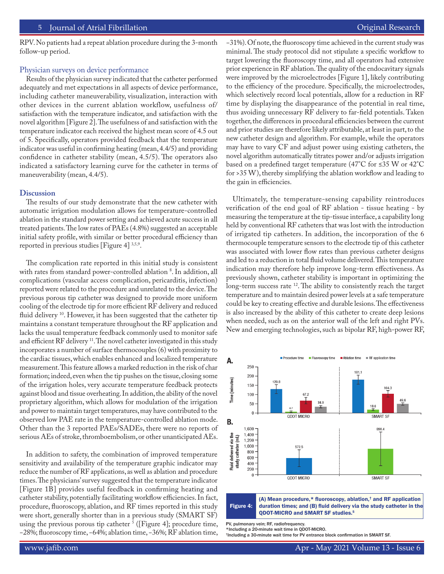RPV. No patients had a repeat ablation procedure during the 3-month follow-up period.

### Physician surveys on device performance

Results of the physician survey indicated that the catheter performed adequately and met expectations in all aspects of device performance, including catheter maneuverability, visualization, interaction with other devices in the current ablation workflow, usefulness of/ satisfaction with the temperature indicator, and satisfaction with the novel algorithm [Figure 2]. The usefulness of and satisfaction with the temperature indicator each received the highest mean score of 4.5 out of 5. Specifically, operators provided feedback that the temperature indicator was useful in confirming heating (mean, 4.4/5) and providing confidence in catheter stability (mean, 4.5/5). The operators also indicated a satisfactory learning curve for the catheter in terms of maneuverability (mean, 4.4/5).

# **Discussion**

The results of our study demonstrate that the new catheter with automatic irrigation modulation allows for temperature-controlled ablation in the standard power setting and achieved acute success in all treated patients. The low rates of PAEs (4.8%) suggested an acceptable initial safety profile, with similar or better procedural efficiency than reported in previous studies [Figure 4] 3,5,9.

The complication rate reported in this initial study is consistent with rates from standard power-controlled ablation  $\degree$ . In addition, all complications (vascular access complication, pericarditis, infection) reported were related to the procedure and unrelated to the device. The previous porous tip catheter was designed to provide more uniform cooling of the electrode tip for more efficient RF delivery and reduced fluid delivery<sup>10</sup>. However, it has been suggested that the catheter tip maintains a constant temperature throughout the RF application and lacks the usual temperature feedback commonly used to monitor safe and efficient RF delivery<sup>11</sup>. The novel catheter investigated in this study incorporates a number of surface thermocouples (6) with proximity to the cardiac tissues, which enables enhanced and localized temperature measurement. This feature allows a marked reduction in the risk of char formation; indeed, even when the tip pushes on the tissue, closing some of the irrigation holes, very accurate temperature feedback protects against blood and tissue overheating. In addition, the ability of the novel proprietary algorithm, which allows for modulation of the irrigation and power to maintain target temperatures, may have contributed to the observed low PAE rate in the temperature-controlled ablation mode. Other than the 3 reported PAEs/SADEs, there were no reports of serious AEs of stroke, thromboembolism, or other unanticipated AEs.

In addition to safety, the combination of improved temperature sensitivity and availability of the temperature graphic indicator may reduce the number of RF applications, as well as ablation and procedure times. The physicians' survey suggested that the temperature indicator [Figure 1B] provides useful feedback in confirming heating and catheter stability, potentially facilitating workflow efficiencies. In fact, procedure, fluoroscopy, ablation, and RF times reported in this study were short, generally shorter than in a previous study (SMART SF) using the previous porous tip catheter <sup>5</sup> ([Figure 4]; procedure time, −28%; fluoroscopy time, −64%; ablation time, −36%; RF ablation time,

−31%). Of note, the fluoroscopy time achieved in the current study was minimal. The study protocol did not stipulate a specific workflow to target lowering the fluoroscopy time, and all operators had extensive prior experience in RF ablation. The quality of the endocavitary signals were improved by the microelectrodes [Figure 1], likely contributing to the efficiency of the procedure. Specifically, the microelectrodes, which selectively record local potentials, allow for a reduction in RF time by displaying the disappearance of the potential in real time, thus avoiding unnecessary RF delivery to far-field potentials. Taken together, the differences in procedural efficiencies between the current and prior studies are therefore likely attributable, at least in part, to the new catheter design and algorithm. For example, while the operators may have to vary CF and adjust power using existing catheters, the novel algorithm automatically titrates power and/or adjusts irrigation based on a predefined target temperature (47°C for ≤35 W or 42°C for >35 W), thereby simplifying the ablation workflow and leading to the gain in efficiencies.

Ultimately, the temperature-sensing capability reintroduces verification of the end goal of RF ablation - tissue heating - by measuring the temperature at the tip-tissue interface, a capability long held by conventional RF catheters that was lost with the introduction of irrigated tip catheters. In addition, the incorporation of the 6 thermocouple temperature sensors to the electrode tip of this catheter was associated with lower flow rates than previous catheter designs and led to a reduction in total fluid volume delivered. This temperature indication may therefore help improve long-term effectiveness. As previously shown, catheter stability is important in optimizing the long-term success rate <sup>12</sup>. The ability to consistently reach the target temperature and to maintain desired power levels at a safe temperature could be key to creating effective and durable lesions. The effectiveness is also increased by the ability of this catheter to create deep lesions when needed, such as on the anterior wall of the left and right PVs. New and emerging technologies, such as bipolar RF, high-power RF,





PV, pulmonary vein; RF, radiofrequency. \*Including a 20-minute wait time in QDOT-MICRO.

<sup>†</sup>Including a 30-minute wait time for PV entrance block confirmation in SMART SF.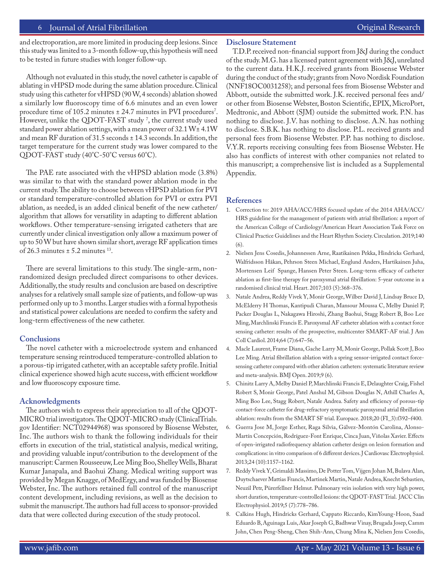# 6 Journal of Atrial Fibrillation **Community** Community Community Community Community Community Community Community

and electroporation, are more limited in producing deep lesions. Since this study was limited to a 3-month follow-up, this hypothesis will need to be tested in future studies with longer follow-up.

Although not evaluated in this study, the novel catheter is capable of ablating in vHPSD mode during the same ablation procedure. Clinical study using this catheter for vHPSD (90 W, 4 seconds) ablation showed a similarly low fluoroscopy time of 6.6 minutes and an even lower procedure time of 105.2 minutes  $\pm$  24.7 minutes in PVI procedures<sup>7</sup>. However, unlike the QDOT-FAST study 7 , the current study used standard power ablation settings, with a mean power of 32.1 W± 4.1W and mean RF duration of 31.5 seconds ± 14.3 seconds. In addition, the target temperature for the current study was lower compared to the QDOT-FAST study (40°C-50°C versus 60°C).

The PAE rate associated with the vHPSD ablation mode (3.8%) was similar to that with the standard power ablation mode in the current study. The ability to choose between vHPSD ablation for PVI or standard temperature-controlled ablation for PVI or extra PVI ablation, as needed, is an added clinical benefit of the new catheter/ algorithm that allows for versatility in adapting to different ablation workflows. Other temperature-sensing irrigated catheters that are currently under clinical investigation only allow a maximum power of up to 50 W but have shown similar short, average RF application times of 26.3 minutes  $\pm$  5.2 minutes  $^{13}$ .

There are several limitations to this study. The single-arm, nonrandomized design precluded direct comparisons to other devices. Additionally, the study results and conclusion are based on descriptive analyses for a relatively small sample size of patients, and follow-up was performed only up to 3 months. Larger studies with a formal hypothesis and statistical power calculations are needed to confirm the safety and long-term effectiveness of the new catheter.

# **Conclusions**

The novel catheter with a microelectrode system and enhanced temperature sensing reintroduced temperature-controlled ablation to a porous-tip irrigated catheter, with an acceptable safety profile. Initial clinical experience showed high acute success, with efficient workflow and low fluoroscopy exposure time.

### **Acknowledgments**

The authors wish to express their appreciation to all of the QDOT-MICRO trial investigators. The QDOT-MICRO study (ClinicalTrials. gov Identifier: NCT02944968) was sponsored by Biosense Webster, Inc. The authors wish to thank the following individuals for their efforts in execution of the trial, statistical analysis, medical writing, and providing valuable input/contribution to the development of the manuscript: Carmen Rousseeuw, Lee Ming Boo, Shelley Wells, Bharat Kumar Janapala, and Baohui Zhang. Medical writing support was provided by Megan Knagge, of MedErgy, and was funded by Biosense Webster, Inc. The authors retained full control of the manuscript content development, including revisions, as well as the decision to submit the manuscript. The authors had full access to sponsor-provided data that were collected during execution of the study protocol.

# **Disclosure Statement**

T.D.P. received non-financial support from J&J during the conduct of the study. M.G. has a licensed patent agreement with J&J, unrelated to the current data. H.K.J. received grants from Biosense Webster during the conduct of the study; grants from Novo Nordisk Foundation (NNF18OC0031258); and personal fees from Biosense Webster and Abbott, outside the submitted work. J.K. received personal fees and/ or other from Biosense Webster, Boston Scientific, EPIX, MicroPort, Medtronic, and Abbott (SJM) outside the submitted work. P.N. has nothing to disclose. J.V. has nothing to disclose. A.N. has nothing to disclose. S.B.K. has nothing to disclose. P.L. received grants and personal fees from Biosense Webster. P.P. has nothing to disclose. V.Y.R. reports receiving consulting fees from Biosense Webster. He also has conflicts of interest with other companies not related to this manuscript; a comprehensive list is included as a Supplemental Appendix.

### **References**

- 1. Correction to: 2019 AHA/ACC/HRS focused update of the 2014 AHA/ACC/ HRS guideline for the management of patients with atrial fibrillation: a report of the American College of Cardiology/American Heart Association Task Force on Clinical Practice Guidelines and the Heart Rhythm Society. Circulation. 2019;140 (6).
- 2. Nielsen Jens Cosedis, Johannessen Arne, Raatikainen Pekka, Hindricks Gerhard, Walfridsson Håkan, Pehrson Steen Michael, Englund Anders, Hartikainen Juha, Mortensen Leif Spange, Hansen Peter Steen. Long-term efficacy of catheter ablation as first-line therapy for paroxysmal atrial fibrillation: 5-year outcome in a randomised clinical trial. Heart. 2017;103 (5):368–376.
- 3. Natale Andrea, Reddy Vivek Y, Monir George, Wilber David J, Lindsay Bruce D, McElderry H Thomas, Kantipudi Charan, Mansour Moussa C, Melby Daniel P, Packer Douglas L, Nakagawa Hiroshi, Zhang Baohui, Stagg Robert B, Boo Lee Ming, Marchlinski Francis E. Paroxysmal AF catheter ablation with a contact force sensing catheter: results of the prospective, multicenter SMART-AF trial. J Am Coll Cardiol. 2014;64 (7):647–56.
- 4. Macle Laurent, Frame Diana, Gache Larry M, Monir George, Pollak Scott J, Boo Lee Ming. Atrial fibrillation ablation with a spring sensor-irrigated contact forcesensing catheter compared with other ablation catheters: systematic literature review and meta-analysis. BMJ Open. 2019;9 (6).
- 5. Chinitz Larry A, Melby Daniel P, Marchlinski Francis E, Delaughter Craig, Fishel Robert S, Monir George, Patel Anshul M, Gibson Douglas N, Athill Charles A, Ming Boo Lee, Stagg Robert, Natale Andrea. Safety and efficiency of porous-tip contact-force catheter for drug-refractory symptomatic paroxysmal atrial fibrillation ablation: results from the SMART SF trial. Europace. 2018;20 (FI\_3):f392–f400.
- 6. Guerra Jose M, Jorge Esther, Raga Silvia, Gálvez-Montón Carolina, Alonso-Martín Concepción, Rodríguez-Font Enrique, Cinca Juan, Viñolas Xavier. Effects of open-irrigated radiofrequency ablation catheter design on lesion formation and complications: in vitro comparison of 6 different devices. J Cardiovasc Electrophysiol. 2013;24 (10):1157–1162.
- 7. Reddy Vivek Y, Grimaldi Massimo, De Potter Tom, Vijgen Johan M, Bulava Alan, Duytschaever Mattias Francis, Martinek Martin, Natale Andrea, Knecht Sebastien, Neuzil Petr, Pürerfellner Helmut. Pulmonary vein isolation with very high power, short duration, temperature-controlled lesions: the QDOT-FAST Trial. JACC Clin Electrophysiol. 2019;5 (7):778–786.
- 8. Calkins Hugh, Hindricks Gerhard, Cappato Riccardo, KimYoung-Hoon, Saad Eduardo B, Aguinaga Luis, Akar Joseph G, Badhwar Vinay, Brugada Josep, Camm John, Chen Peng-Sheng, Chen Shih-Ann, Chung Mina K, Nielsen Jens Cosedis,